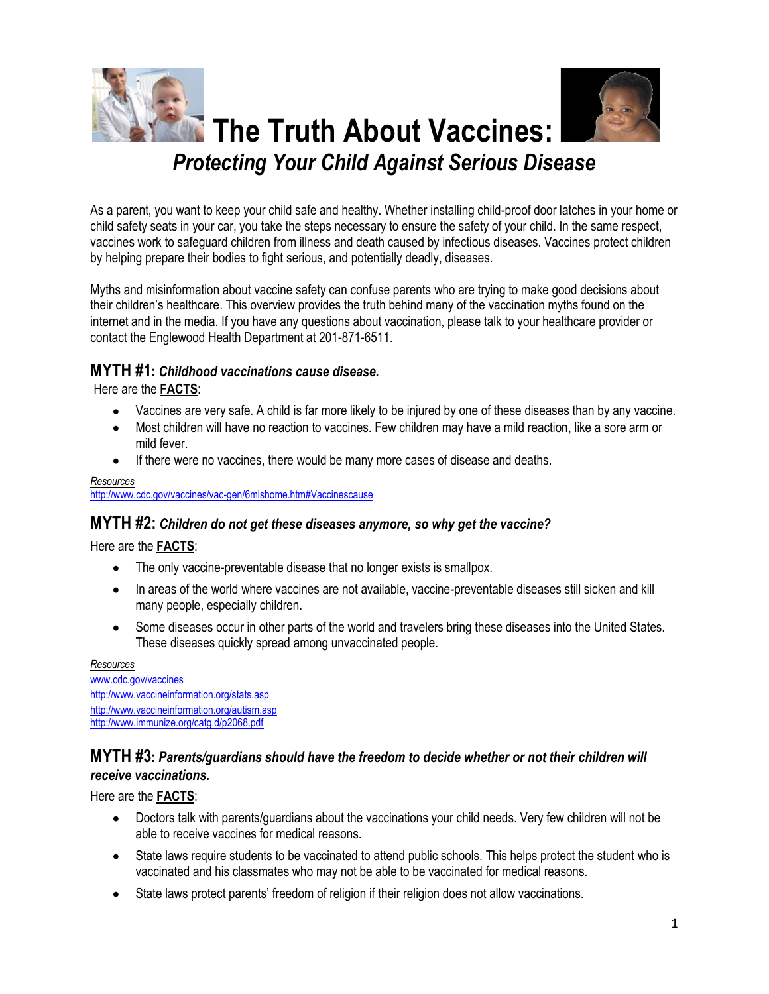

As a parent, you want to keep your child safe and healthy. Whether installing child-proof door latches in your home or child safety seats in your car, you take the steps necessary to ensure the safety of your child. In the same respect, vaccines work to safeguard children from illness and death caused by infectious diseases. Vaccines protect children by helping prepare their bodies to fight serious, and potentially deadly, diseases.

Myths and misinformation about vaccine safety can confuse parents who are trying to make good decisions about their children's healthcare. This overview provides the truth behind many of the vaccination myths found on the internet and in the media. If you have any questions about vaccination, please talk to your healthcare provider or contact the Englewood Health Department at 201-871-6511.

### **MYTH #1:** *Childhood vaccinations cause disease.*

Here are the **FACTS**:

- Vaccines are very safe. A child is far more likely to be injured by one of these diseases than by any vaccine.
- Most children will have no reaction to vaccines. Few children may have a mild reaction, like a sore arm or mild fever.
- If there were no vaccines, there would be many more cases of disease and deaths.

#### *Resources*  <http://www.cdc.gov/vaccines/vac-gen/6mishome.htm#Vaccinescause>

### **MYTH #2:** *Children do not get these diseases anymore, so why get the vaccine?*

Here are the **FACTS**:

- The only vaccine-preventable disease that no longer exists is smallpox.
- In areas of the world where vaccines are not available, vaccine-preventable diseases still sicken and kill many people, especially children.
- Some diseases occur in other parts of the world and travelers bring these diseases into the United States. These diseases quickly spread among unvaccinated people.

#### *Resources*

[www.cdc.gov/vaccines](http://www.cdc.gov/vaccines) <http://www.vaccineinformation.org/stats.asp> <http://www.vaccineinformation.org/autism.asp> <http://www.immunize.org/catg.d/p2068.pdf>

## **MYTH #3:** *Parents/guardians should have the freedom to decide whether or not their children will receive vaccinations.*

Here are the **FACTS**:

- Doctors talk with parents/guardians about the vaccinations your child needs. Very few children will not be able to receive vaccines for medical reasons.
- State laws require students to be vaccinated to attend public schools. This helps protect the student who is vaccinated and his classmates who may not be able to be vaccinated for medical reasons.
- State laws protect parents' freedom of religion if their religion does not allow vaccinations.  $\bullet$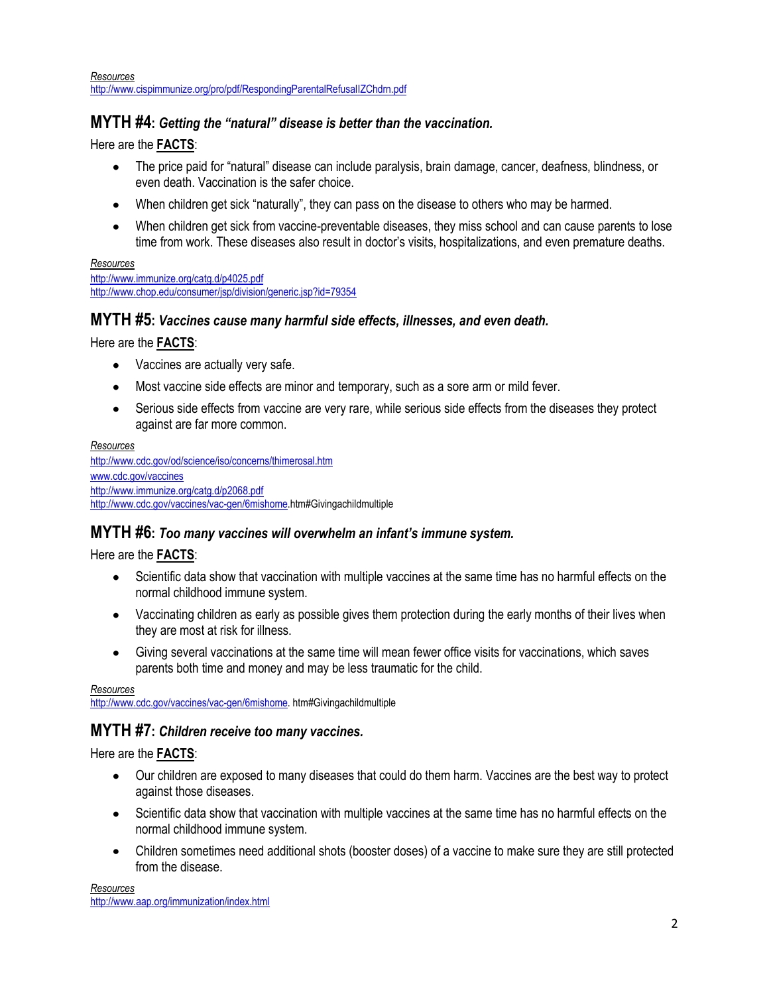*Resources*  <http://www.cispimmunize.org/pro/pdf/RespondingParentalRefusalIZChdrn.pdf>

### **MYTH #4:** *Getting the "natural" disease is better than the vaccination.*

Here are the **FACTS**:

- The price paid for "natural" disease can include paralysis, brain damage, cancer, deafness, blindness, or  $\bullet$ even death. Vaccination is the safer choice.
- When children get sick "naturally", they can pass on the disease to others who may be harmed.
- When children get sick from vaccine-preventable diseases, they miss school and can cause parents to lose time from work. These diseases also result in doctor's visits, hospitalizations, and even premature deaths.

#### *Resources*

<http://www.immunize.org/catg.d/p4025.pdf> <http://www.chop.edu/consumer/jsp/division/generic.jsp?id=79354>

### **MYTH #5:** *Vaccines cause many harmful side effects, illnesses, and even death.*

Here are the **FACTS**:

- Vaccines are actually very safe.  $\bullet$
- Most vaccine side effects are minor and temporary, such as a sore arm or mild fever.  $\bullet$
- Serious side effects from vaccine are very rare, while serious side effects from the diseases they protect  $\bullet$ against are far more common.

#### *Resources*

<http://www.cdc.gov/od/science/iso/concerns/thimerosal.htm> [www.cdc.gov/vaccines](http://www.cdc.gov/vaccines) <http://www.immunize.org/catg.d/p2068.pdf> [http://www.cdc.gov/vaccines/vac-gen/6mishome.](http://www.cdc.gov/vaccines/vac-gen/6mishome)htm#Givingachildmultiple

#### **MYTH #6:** *Too many vaccines will overwhelm an infant's immune system.*

Here are the **FACTS**:

- Scientific data show that vaccination with multiple vaccines at the same time has no harmful effects on the normal childhood immune system.
- Vaccinating children as early as possible gives them protection during the early months of their lives when they are most at risk for illness.
- Giving several vaccinations at the same time will mean fewer office visits for vaccinations, which saves parents both time and money and may be less traumatic for the child.

*Resources*  [http://www.cdc.gov/vaccines/vac-gen/6mishome.](http://www.cdc.gov/vaccines/vac-gen/6mishome) htm#Givingachildmultiple

## **MYTH #7:** *Children receive too many vaccines.*

Here are the **FACTS**:

- Our children are exposed to many diseases that could do them harm. Vaccines are the best way to protect against those diseases.
- Scientific data show that vaccination with multiple vaccines at the same time has no harmful effects on the normal childhood immune system.
- Children sometimes need additional shots (booster doses) of a vaccine to make sure they are still protected from the disease.

*Resources* <http://www.aap.org/immunization/index.html>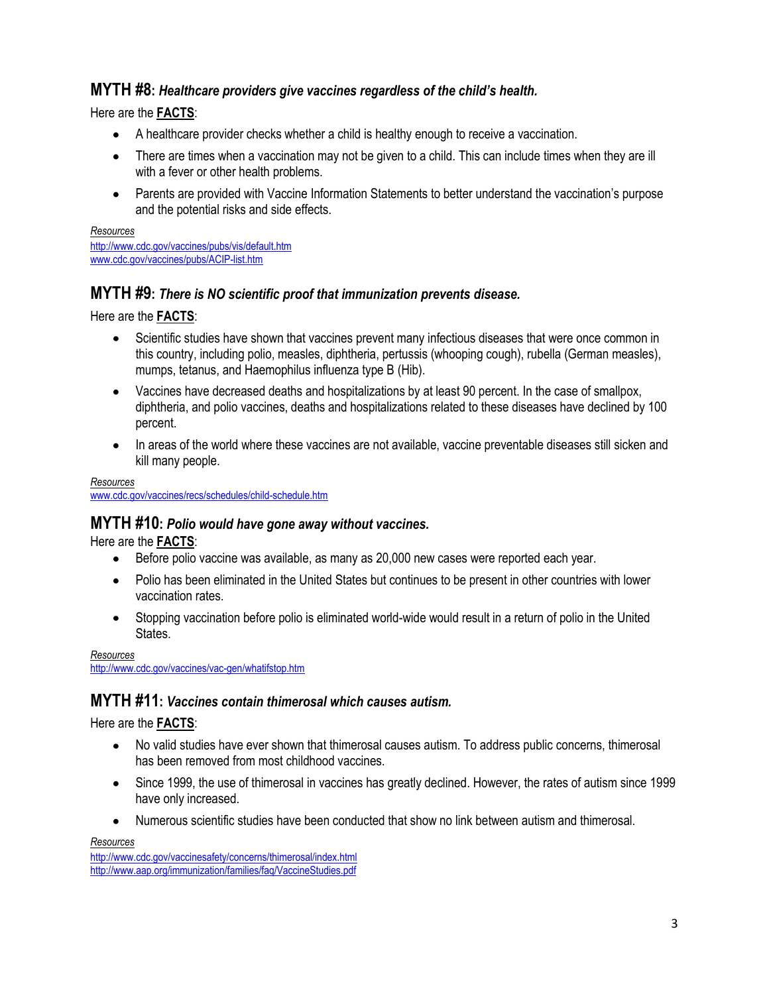## **MYTH #8:** *Healthcare providers give vaccines regardless of the child's health.*

Here are the **FACTS**:

- A healthcare provider checks whether a child is healthy enough to receive a vaccination.
- There are times when a vaccination may not be given to a child. This can include times when they are ill  $\bullet$ with a fever or other health problems.
- Parents are provided with Vaccine Information Statements to better understand the vaccination's purpose and the potential risks and side effects.

*Resources* <http://www.cdc.gov/vaccines/pubs/vis/default.htm> [www.cdc.gov/vaccines/pubs/ACIP-list.htm](http://www.cdc.gov/vaccines/pubs/ACIP-list.htm)

## **MYTH #9:** *There is NO scientific proof that immunization prevents disease.*

Here are the **FACTS**:

- Scientific studies have shown that vaccines prevent many infectious diseases that were once common in this country, including polio, measles, diphtheria, pertussis (whooping cough), rubella (German measles), mumps, tetanus, and Haemophilus influenza type B (Hib).
- Vaccines have decreased deaths and hospitalizations by at least 90 percent. In the case of smallpox, diphtheria, and polio vaccines, deaths and hospitalizations related to these diseases have declined by 100 percent.
- In areas of the world where these vaccines are not available, vaccine preventable diseases still sicken and  $\bullet$ kill many people.

#### *Resources* [www.cdc.gov/vaccines/recs/schedules/child-schedule.htm](http://www.cdc.gov/vaccines/recs/schedules/child-schedule.htm)

## **MYTH #10:** *Polio would have gone away without vaccines.*

Here are the **FACTS**:

- Before polio vaccine was available, as many as 20,000 new cases were reported each year.
- Polio has been eliminated in the United States but continues to be present in other countries with lower  $\bullet$ vaccination rates.
- Stopping vaccination before polio is eliminated world-wide would result in a return of polio in the United States.

*Resources* <http://www.cdc.gov/vaccines/vac-gen/whatifstop.htm>

# **MYTH #11:** *Vaccines contain thimerosal which causes autism.*

Here are the **FACTS**:

- No valid studies have ever shown that thimerosal causes autism. To address public concerns, thimerosal has been removed from most childhood vaccines.
- Since 1999, the use of thimerosal in vaccines has greatly declined. However, the rates of autism since 1999 have only increased.
- Numerous scientific studies have been conducted that show no link between autism and thimerosal.

*Resources*

<http://www.cdc.gov/vaccinesafety/concerns/thimerosal/index.html> <http://www.aap.org/immunization/families/faq/VaccineStudies.pdf>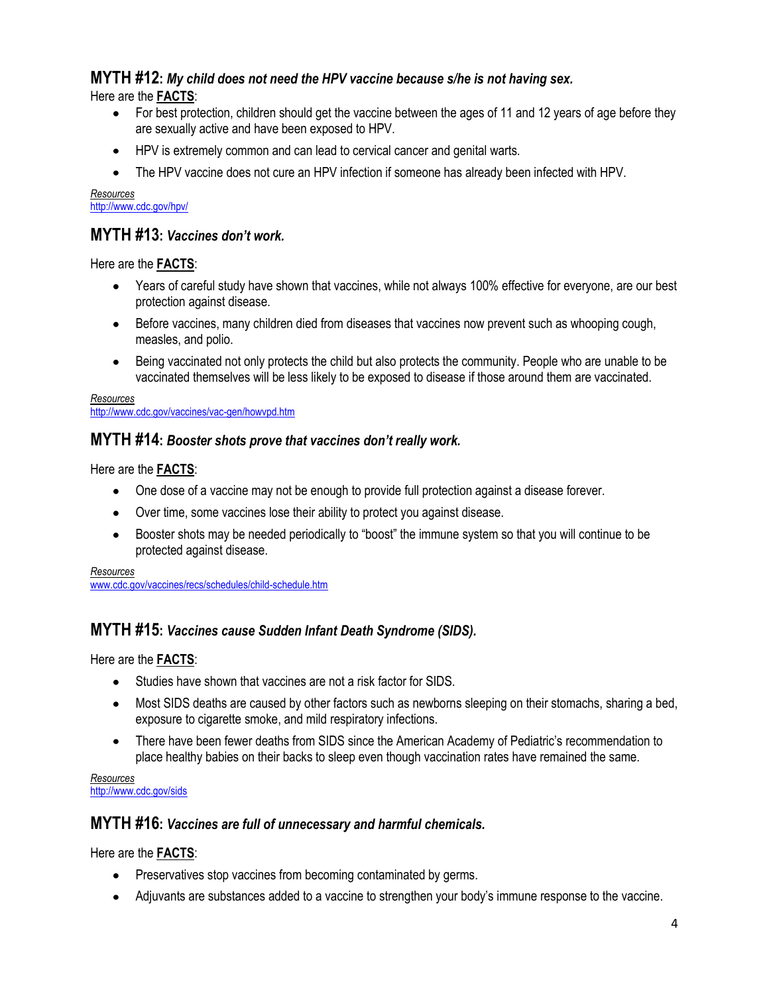## **MYTH #12:** *My child does not need the HPV vaccine because s/he is not having sex.*

Here are the **FACTS**:

- For best protection, children should get the vaccine between the ages of 11 and 12 years of age before they are sexually active and have been exposed to HPV.
- HPV is extremely common and can lead to cervical cancer and genital warts.
- The HPV vaccine does not cure an HPV infection if someone has already been infected with HPV.  $\bullet$

*Resources* <http://www.cdc.gov/hpv/>

## **MYTH #13:** *Vaccines don't work.*

Here are the **FACTS**:

- Years of careful study have shown that vaccines, while not always 100% effective for everyone, are our best protection against disease.
- Before vaccines, many children died from diseases that vaccines now prevent such as whooping cough,  $\bullet$ measles, and polio.
- Being vaccinated not only protects the child but also protects the community. People who are unable to be vaccinated themselves will be less likely to be exposed to disease if those around them are vaccinated.

*Resources* <http://www.cdc.gov/vaccines/vac-gen/howvpd.htm>

## **MYTH #14:** *Booster shots prove that vaccines don't really work.*

Here are the **FACTS**:

- One dose of a vaccine may not be enough to provide full protection against a disease forever.
- Over time, some vaccines lose their ability to protect you against disease.  $\bullet$
- Booster shots may be needed periodically to "boost" the immune system so that you will continue to be  $\bullet$ protected against disease.

*Resources*

[www.cdc.gov/vaccines/recs/schedules/child-schedule.htm](http://www.cdc.gov/vaccines/recs/schedules/child-schedule.htm)

## **MYTH #15:** *Vaccines cause Sudden Infant Death Syndrome (SIDS).*

Here are the **FACTS**:

- Studies have shown that vaccines are not a risk factor for SIDS.
- Most SIDS deaths are caused by other factors such as newborns sleeping on their stomachs, sharing a bed, exposure to cigarette smoke, and mild respiratory infections.
- There have been fewer deaths from SIDS since the American Academy of Pediatric's recommendation to place healthy babies on their backs to sleep even though vaccination rates have remained the same.

*Resources* <http://www.cdc.gov/sids>

## **MYTH #16:** *Vaccines are full of unnecessary and harmful chemicals.*

Here are the **FACTS**:

- Preservatives stop vaccines from becoming contaminated by germs.
- Adjuvants are substances added to a vaccine to strengthen your body's immune response to the vaccine.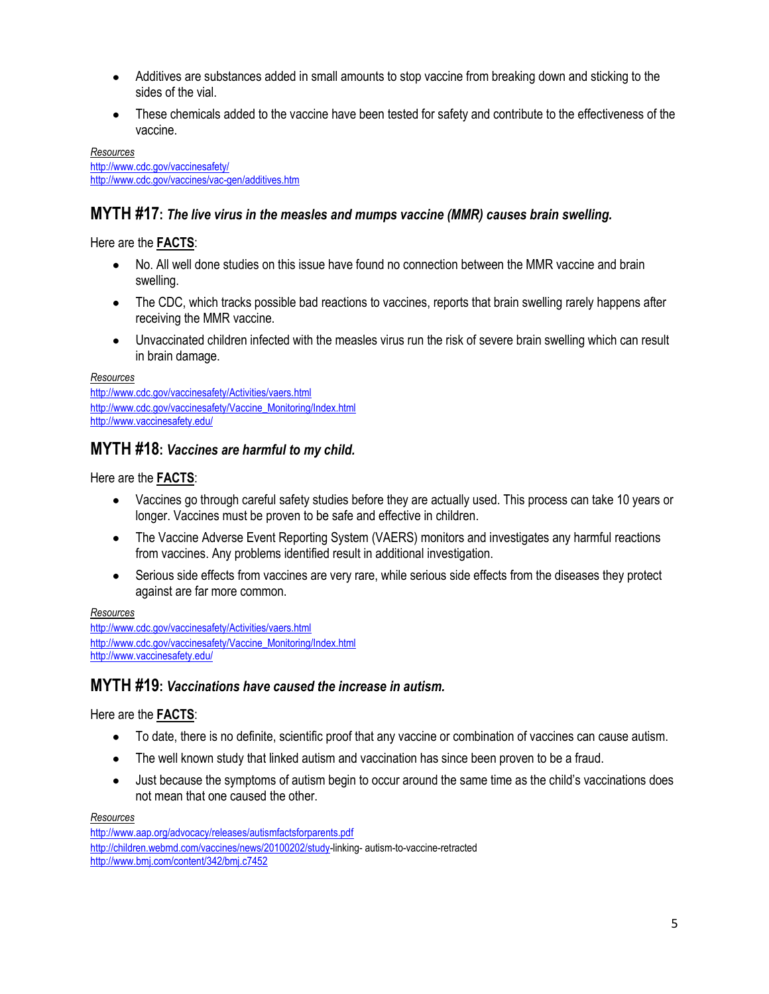- Additives are substances added in small amounts to stop vaccine from breaking down and sticking to the  $\bullet$ sides of the vial.
- These chemicals added to the vaccine have been tested for safety and contribute to the effectiveness of the vaccine.

*Resources* <http://www.cdc.gov/vaccinesafety/> <http://www.cdc.gov/vaccines/vac-gen/additives.htm>

## **MYTH #17:** *The live virus in the measles and mumps vaccine (MMR) causes brain swelling.*

Here are the **FACTS**:

- No. All well done studies on this issue have found no connection between the MMR vaccine and brain swelling.
- The CDC, which tracks possible bad reactions to vaccines, reports that brain swelling rarely happens after  $\bullet$ receiving the MMR vaccine.
- Unvaccinated children infected with the measles virus run the risk of severe brain swelling which can result  $\bullet$ in brain damage.

*Resources*

<http://www.cdc.gov/vaccinesafety/Activities/vaers.html> [http://www.cdc.gov/vaccinesafety/Vaccine\\_Monitoring/Index.html](http://www.cdc.gov/vaccinesafety/Vaccine_Monitoring/Index.html) <http://www.vaccinesafety.edu/>

### **MYTH #18:** *Vaccines are harmful to my child.*

Here are the **FACTS**:

- Vaccines go through careful safety studies before they are actually used. This process can take 10 years or longer. Vaccines must be proven to be safe and effective in children.
- The Vaccine Adverse Event Reporting System (VAERS) monitors and investigates any harmful reactions from vaccines. Any problems identified result in additional investigation.
- Serious side effects from vaccines are very rare, while serious side effects from the diseases they protect  $\bullet$ against are far more common.

*Resources*

<http://www.cdc.gov/vaccinesafety/Activities/vaers.html> [http://www.cdc.gov/vaccinesafety/Vaccine\\_Monitoring/Index.html](http://www.cdc.gov/vaccinesafety/Vaccine_Monitoring/Index.html) <http://www.vaccinesafety.edu/>

## **MYTH #19:** *Vaccinations have caused the increase in autism.*

#### Here are the **FACTS**:

- $\bullet$ To date, there is no definite, scientific proof that any vaccine or combination of vaccines can cause autism.
- The well known study that linked autism and vaccination has since been proven to be a fraud.  $\bullet$
- Just because the symptoms of autism begin to occur around the same time as the child's vaccinations does  $\bullet$ not mean that one caused the other.

*Resources*

<http://www.aap.org/advocacy/releases/autismfactsforparents.pdf> [http://children.webmd.com/vaccines/news/20100202/study-](http://children.webmd.com/vaccines/news/20100202/study)linking- autism-to-vaccine-retracted <http://www.bmj.com/content/342/bmj.c7452>